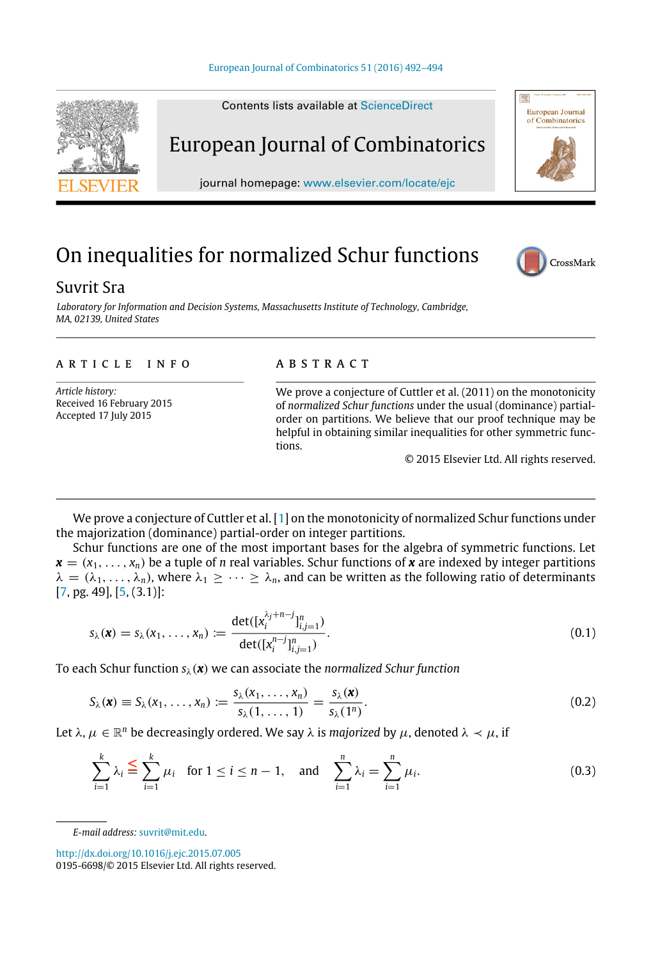Contents lists available at [ScienceDirect](http://www.elsevier.com/locate/ejc)

# European Journal of Combinatorics journal homepage: [www.elsevier.com/locate/ejc](http://www.elsevier.com/locate/ejc)

## On inequalities for normalized Schur functions

### Suvrit Sra

*Laboratory for Information and Decision Systems, Massachusetts Institute of Technology, Cambridge, MA, 02139, United States*

#### article info

*Article history:* Received 16 February 2015 Accepted 17 July 2015

#### **ABSTRACT**

We prove a conjecture of Cuttler et al. (2011) on the monotonicity of *normalized Schur functions* under the usual (dominance) partialorder on partitions. We believe that our proof technique may be helpful in obtaining similar inequalities for other symmetric functions.

<span id="page-0-2"></span><span id="page-0-1"></span><span id="page-0-0"></span>© 2015 Elsevier Ltd. All rights reserved.

We prove a conjecture of Cuttler et al. [\[1\]](#page-2-0) on the monotonicity of normalized Schur functions under the majorization (dominance) partial-order on integer partitions.

Schur functions are one of the most important bases for the algebra of symmetric functions. Let  $\mathbf{x} = (x_1, \ldots, x_n)$  be a tuple of *n* real variables. Schur functions of **x** are indexed by integer partitions  $\lambda = (\lambda_1, \ldots, \lambda_n)$ , where  $\lambda_1 \geq \cdots \geq \lambda_n$ , and can be written as the following ratio of determinants [\[7,](#page-2-1) pg. 49], [\[5,](#page-2-2) (3.1)]:

$$
s_{\lambda}(\mathbf{x}) = s_{\lambda}(x_1, \dots, x_n) := \frac{\det([\mathbf{x}_i^{\lambda_j+n-j}]_{i,j=1}^n)}{\det([\mathbf{x}_i^{n-j}]_{i,j=1}^n)}.
$$
\n(0.1)

To each Schur function *s(x)* we can associate the *normalized Schur function*

$$
S_{\lambda}(\boldsymbol{x}) \equiv S_{\lambda}(x_1,\ldots,x_n) := \frac{s_{\lambda}(x_1,\ldots,x_n)}{s_{\lambda}(1,\ldots,1)} = \frac{s_{\lambda}(\boldsymbol{x})}{s_{\lambda}(1^n)}.
$$
\n(0.2)

Let  $\lambda, \mu \in \mathbb{R}^n$  be decreasingly ordered. We say  $\lambda$  is *majorized* by  $\mu$ , denoted  $\lambda \prec \mu$ , if

$$
\sum_{i=1}^{k} \lambda_i \leq \sum_{i=1}^{k} \mu_i \text{ for } 1 \leq i \leq n-1, \text{ and } \sum_{i=1}^{n} \lambda_i = \sum_{i=1}^{n} \mu_i.
$$
 (0.3)

*E-mail address:* [suvrit@mit.edu.](mailto:suvrit@mit.edu)





CrossMark

European Journal<br>of Combinatorics

<http://dx.doi.org/10.1016/j.ejc.2015.07.005>

<sup>0195-6698/</sup>© 2015 Elsevier Ltd. All rights reserved.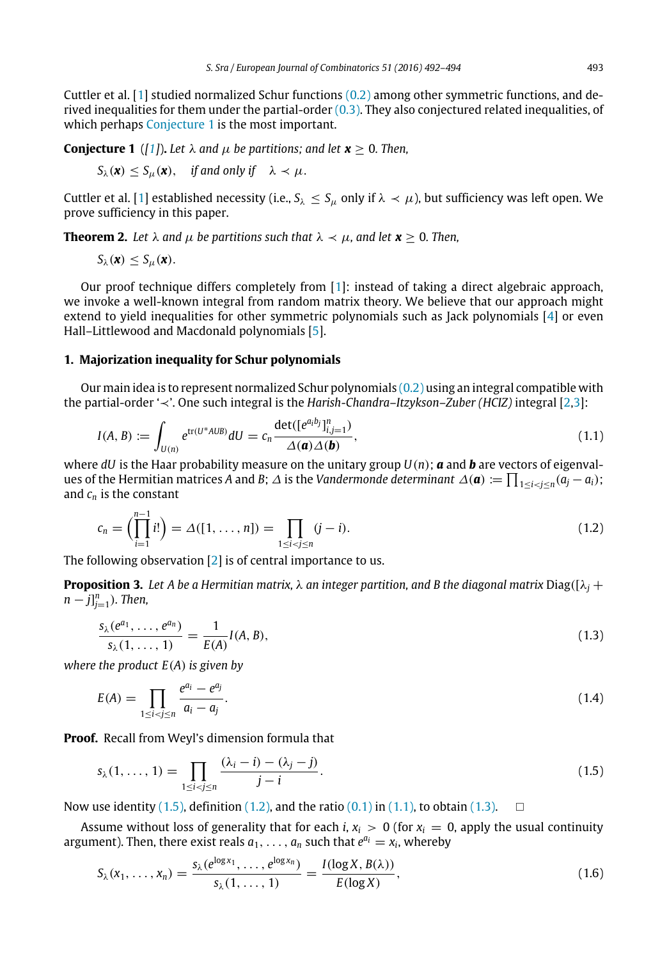Cuttler et al. [\[1\]](#page-2-0) studied normalized Schur functions [\(0.2\)](#page-0-0) among other symmetric functions, and derived inequalities for them under the partial-order  $(0.3)$ . They also conjectured related inequalities, of which perhaps [Conjecture 1](#page-1-0) is the most important.

**Conjecture 1** ([\[1\]](#page-2-0)). Let  $\lambda$  and  $\mu$  be partitions; and let  $\mathbf{x} > 0$ . Then,

<span id="page-1-0"></span>
$$
S_{\lambda}(\mathbf{x}) \leq S_{\mu}(\mathbf{x}), \quad \text{if and only if} \quad \lambda \prec \mu.
$$

Cuttler et al. [\[1\]](#page-2-0) established necessity (i.e.,  $S_\lambda \leq S_\mu$  only if  $\lambda \prec \mu$ ), but sufficiency was left open. We prove sufficiency in this paper.

**Theorem 2.** Let  $\lambda$  and  $\mu$  be partitions such that  $\lambda \prec \mu$ , and let  $x > 0$ . Then,

<span id="page-1-6"></span>
$$
S_{\lambda}(\boldsymbol{x}) \leq S_{\mu}(\boldsymbol{x}).
$$

Our proof technique differs completely from [\[1\]](#page-2-0): instead of taking a direct algebraic approach, we invoke a well-known integral from random matrix theory. We believe that our approach might extend to yield inequalities for other symmetric polynomials such as Jack polynomials [\[4\]](#page-2-3) or even Hall–Littlewood and Macdonald polynomials [\[5\]](#page-2-2).

#### **1. Majorization inequality for Schur polynomials**

Our main idea is to represent normalized Schur polynomials [\(0.2\)](#page-0-0) using an integral compatible with the partial-order ' $\prec$ '. One such integral is the *Harish-Chandra–Itzykson–Zuber (HCIZ)* integral [\[2,](#page-2-4)[3\]](#page-2-5):

<span id="page-1-3"></span>
$$
I(A, B) := \int_{U(n)} e^{\text{tr}(U^*AUB)} dU = c_n \frac{\text{det}([e^{a_ibj}]_{i,j=1}^n)}{\Delta(\mathbf{a})\Delta(\mathbf{b})},
$$
\n(1.1)

where *dU* is the Haar probability measure on the unitary group  $U(n)$ ; *a* and *b* are vectors of eigenvalues of the Hermitian matrices *A* and *B*;  $\Delta$  is the *Vandermonde determinant*  $\Delta(\mathbf{a}) := \prod_{1 \le i < j \le n} (a_j - a_i)$ ; and *cn* is the constant

<span id="page-1-2"></span>
$$
c_n = \left(\prod_{i=1}^{n-1} i!\right) = \Delta([1, \dots, n]) = \prod_{1 \le i < j \le n} (j-i). \tag{1.2}
$$

The following observation [\[2\]](#page-2-4) is of central importance to us.

**Proposition 3.** Let A be a Hermitian matrix,  $\lambda$  an integer partition, and B the diagonal matrix Diag([ $\lambda$ <sub>i</sub> +  $[n-j]_{j=1}^n$ ). Then,

<span id="page-1-5"></span><span id="page-1-4"></span>
$$
\frac{s_{\lambda}(e^{a_1}, \dots, e^{a_n})}{s_{\lambda}(1, \dots, 1)} = \frac{1}{E(A)} I(A, B),
$$
\n(1.3)

*where the product E(A) is given by*

$$
E(A) = \prod_{1 \le i < j \le n} \frac{e^{a_i} - e^{a_j}}{a_i - a_j}.\tag{1.4}
$$

**Proof.** Recall from Weyl's dimension formula that

<span id="page-1-1"></span>
$$
s_{\lambda}(1,\ldots,1)=\prod_{1\leq i\n(1.5)
$$

Now use identity [\(1.5\),](#page-1-1) definition [\(1.2\),](#page-1-2) and the ratio [\(0.1\)](#page-0-2) in [\(1.1\),](#page-1-3) to obtain [\(1.3\).](#page-1-4)  $\Box$ 

Assume without loss of generality that for each *i*,  $x_i > 0$  (for  $x_i = 0$ , apply the usual continuity argument). Then, there exist reals  $a_1, \ldots, a_n$  such that  $e^{a_i} = x_i$ , whereby

$$
S_{\lambda}(x_1,\ldots,x_n)=\frac{s_{\lambda}(e^{\log x_1},\ldots,e^{\log x_n})}{s_{\lambda}(1,\ldots,1)}=\frac{I(\log X,B(\lambda))}{E(\log X)},
$$
\n(1.6)